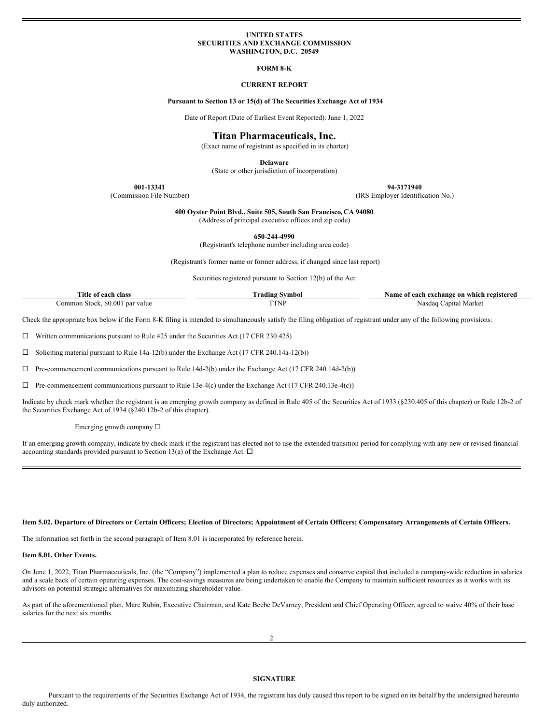### **UNITED STATES SECURITIES AND EXCHANGE COMMISSION WASHINGTON, D.C. 20549**

## **FORM 8-K**

## **CURRENT REPORT**

## **Pursuant to Section 13 or 15(d) of The Securities Exchange Act of 1934**

Date of Report (Date of Earliest Event Reported): June 1, 2022

# **Titan Pharmaceuticals, Inc.**

(Exact name of registrant as specified in its charter)

**Delaware**

(State or other jurisdiction of incorporation)

**001-13341 94-3171940**

(Commission File Number) (IRS Employer Identification No.)

**400 Oyster Point Blvd., Suite 505, South San Francisco, CA 94080** (Address of principal executive offices and zip code)

**650-244-4990**

(Registrant's telephone number including area code)

(Registrant's former name or former address, if changed since last report)

Securities registered pursuant to Section 12(b) of the Act:

| ritle<br>class<br>each<br>- 0T      | radıng<br>vmbol | Name of<br>registereo<br>' each exchange<br>⊢whıch<br>on |
|-------------------------------------|-----------------|----------------------------------------------------------|
| 0.001<br>ommon.<br>Sto<br>par value | 11 V 1          | `anıtal<br>Market<br>Nasdaq                              |

Check the appropriate box below if the Form 8-K filing is intended to simultaneously satisfy the filing obligation of registrant under any of the following provisions:

 $\Box$  Written communications pursuant to Rule 425 under the Securities Act (17 CFR 230.425)

 $\square$  Soliciting material pursuant to Rule 14a-12(b) under the Exchange Act (17 CFR 240.14a-12(b))

 $\Box$  Pre-commencement communications pursuant to Rule 14d-2(b) under the Exchange Act (17 CFR 240.14d-2(b))

 $\Box$  Pre-commencement communications pursuant to Rule 13e-4(c) under the Exchange Act (17 CFR 240.13e-4(c))

Indicate by check mark whether the registrant is an emerging growth company as defined in Rule 405 of the Securities Act of 1933 (§230.405 of this chapter) or Rule 12b-2 of the Securities Exchange Act of 1934 (§240.12b-2 of this chapter).

Emerging growth company  $\square$ 

If an emerging growth company, indicate by check mark if the registrant has elected not to use the extended transition period for complying with any new or revised financial accounting standards provided pursuant to Section 13(a) of the Exchange Act.  $\Box$ 

## Item 5.02. Departure of Directors or Certain Officers; Election of Directors; Appointment of Certain Officers; Compensatory Arrangements of Certain Officers.

The information set forth in the second paragraph of Item 8.01 is incorporated by reference herein.

#### **Item 8.01. Other Events.**

On June 1, 2022, Titan Pharmaceuticals, Inc. (the "Company") implemented a plan to reduce expenses and conserve capital that included a company-wide reduction in salaries and a scale back of certain operating expenses. The cost-savings measures are being undertaken to enable the Company to maintain sufficient resources as it works with its advisors on potential strategic alternatives for maximizing shareholder value.

As part of the aforementioned plan, Marc Rubin, Executive Chairman, and Kate Beebe DeVarney, President and Chief Operating Officer, agreed to waive 40% of their base salaries for the next six months.

### **SIGNATURE**

Pursuant to the requirements of the Securities Exchange Act of 1934, the registrant has duly caused this report to be signed on its behalf by the undersigned hereunto duly authorized.